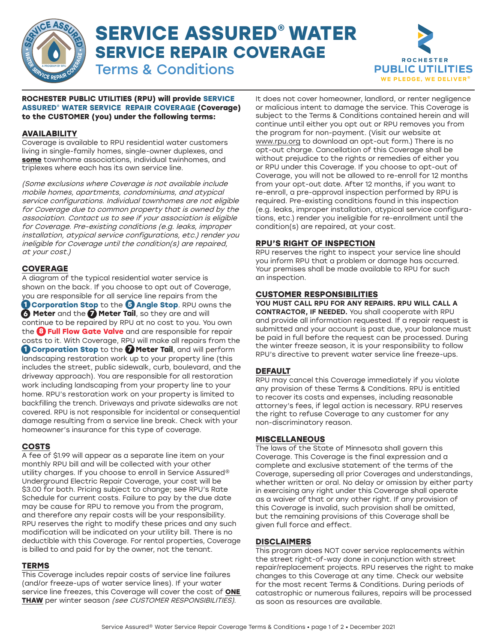

# **SERVICE ASSURED® WATER SERVICE REPAIR COVERAGE** Terms & Conditions





**Rochester Public Utilities (RPU) will provide Service Assured® WATER SERVICE REPAIR COVERAGE (Coverage) to the customer (you) under the following terms:**

#### **Availability**

Coverage is available to RPU residential water customers living in single-family homes, single-owner duplexes, and **some** townhome associations, individual twinhomes, and triplexes where each has its own service line.

(Some exclusions where Coverage is not available include mobile homes, apartments, condominiums, and atypical service configurations. Individual townhomes are not eligible for Coverage due to common property that is owned by the association. Contact us to see if your association is eligible for Coverage. Pre-existing conditions (e.g. leaks, improper installation, atypical service configurations, etc.) render you ineligible for Coverage until the condition(s) are repaired, at your cost.)

## **Coverage**

A diagram of the typical residential water service is shown on the back. If you choose to opt out of Coverage, you are responsible for all service line repairs from the **1 Corporation Stop** to the **5 Angle Stop**. RPU owns the **6** Meter and the **7** Meter Tail, so they are and will continue to be repaired by RPU at no cost to you. You own the **8 Full Flow Gate Valve** and are responsible for repair **8** costs to it. With Coverage, RPU will make all repairs from the **1 Corporation Stop** to the **7** Meter Tail, and will perform landscaping restoration work up to your property line (this includes the street, public sidewalk, curb, boulevard, and the driveway approach). You are responsible for all restoration work including landscaping from your property line to your home. RPU's restoration work on your property is limited to backfilling the trench. Driveways and private sidewalks are not covered. RPU is not responsible for incidental or consequential damage resulting from a service line break. Check with your homeowner's insurance for this type of coverage.

### **COSTS**

A fee of \$1.99 will appear as a separate line item on your monthly RPU bill and will be collected with your other utility charges. If you choose to enroll in Service Assured® Underground Electric Repair Coverage, your cost will be \$3.00 for both. Pricing subject to change; see RPU's Rate Schedule for current costs. Failure to pay by the due date may be cause for RPU to remove you from the program, and therefore any repair costs will be your responsibility. RPU reserves the right to modify these prices and any such modification will be indicated on your utility bill. There is no deductible with this Coverage. For rental properties, Coverage is billed to and paid for by the owner, not the tenant.

#### **Terms**

This Coverage includes repair costs of service line failures (and/or freeze-ups of water service lines). If your water service line freezes, this Coverage will cover the cost of **ONE THAW** per winter season (see CUSTOMER RESPONSIBILITIES).

It does not cover homeowner, landlord, or renter negligence or malicious intent to damage the service. This Coverage is subject to the Terms & Conditions contained herein and will continue until either you opt out or RPU removes you from the program for non-payment. (Visit our website at www.rpu.org to download an opt-out form.) There is no opt-out charge. Cancellation of this Coverage shall be without prejudice to the rights or remedies of either you or RPU under this Coverage. If you choose to opt-out of Coverage, you will not be allowed to re-enroll for 12 months from your opt-out date. After 12 months, if you want to re-enroll, a pre-approval inspection performed by RPU is required. Pre-existing conditions found in this inspection (e.g. leaks, improper installation, atypical service configurations, etc.) render you ineligible for re-enrollment until the condition(s) are repaired, at your cost.

#### **RPU's Right of Inspection**

RPU reserves the right to inspect your service line should you inform RPU that a problem or damage has occurred. Your premises shall be made available to RPU for such an inspection.

#### **Customer Responsibilities**

You must call RPU for any repairs. RPU will call a contractor, if needed. You shall cooperate with RPU and provide all information requested. If a repair request is submitted and your account is past due, your balance must be paid in full before the request can be processed. During the winter freeze season, it is your responsibility to follow RPU's directive to prevent water service line freeze-ups.

#### **Default**

RPU may cancel this Coverage immediately if you violate any provision of these Terms & Conditions. RPU is entitled to recover its costs and expenses, including reasonable attorney's fees, if legal action is necessary. RPU reserves the right to refuse Coverage to any customer for any non-discriminatory reason.

#### **Miscellaneous**

The laws of the State of Minnesota shall govern this Coverage. This Coverage is the final expression and a complete and exclusive statement of the terms of the Coverage, superseding all prior Coverages and understandings, whether written or oral. No delay or omission by either party in exercising any right under this Coverage shall operate as a waiver of that or any other right. If any provision of this Coverage is invalid, such provision shall be omitted, but the remaining provisions of this Coverage shall be given full force and effect.

#### **Disclaimers**

This program does NOT cover service replacements within the street right-of-way done in conjunction with street repair/replacement projects. RPU reserves the right to make changes to this Coverage at any time. Check our website for the most recent Terms & Conditions. During periods of catastrophic or numerous failures, repairs will be processed as soon as resources are available.